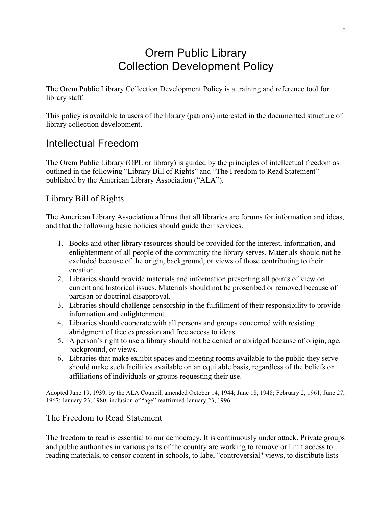# Orem Public Library Collection Development Policy

The Orem Public Library Collection Development Policy is a training and reference tool for library staff.

This policy is available to users of the library (patrons) interested in the documented structure of library collection development.

# Intellectual Freedom

The Orem Public Library (OPL or library) is guided by the principles of intellectual freedom as outlined in the following "Library Bill of Rights" and "The Freedom to Read Statement" published by the American Library Association ("ALA").

### Library Bill of Rights

The American Library Association affirms that all libraries are forums for information and ideas, and that the following basic policies should guide their services.

- 1. Books and other library resources should be provided for the interest, information, and enlightenment of all people of the community the library serves. Materials should not be excluded because of the origin, background, or views of those contributing to their creation.
- 2. Libraries should provide materials and information presenting all points of view on current and historical issues. Materials should not be proscribed or removed because of partisan or doctrinal disapproval.
- 3. Libraries should challenge censorship in the fulfillment of their responsibility to provide information and enlightenment.
- 4. Libraries should cooperate with all persons and groups concerned with resisting abridgment of free expression and free access to ideas.
- 5. A person's right to use a library should not be denied or abridged because of origin, age, background, or views.
- 6. Libraries that make exhibit spaces and meeting rooms available to the public they serve should make such facilities available on an equitable basis, regardless of the beliefs or affiliations of individuals or groups requesting their use.

Adopted June 19, 1939, by the ALA Council; amended October 14, 1944; June 18, 1948; February 2, 1961; June 27, 1967; January 23, 1980; inclusion of "age" reaffirmed January 23, 1996.

#### The Freedom to Read Statement

The freedom to read is essential to our democracy. It is continuously under attack. Private groups and public authorities in various parts of the country are working to remove or limit access to reading materials, to censor content in schools, to label "controversial" views, to distribute lists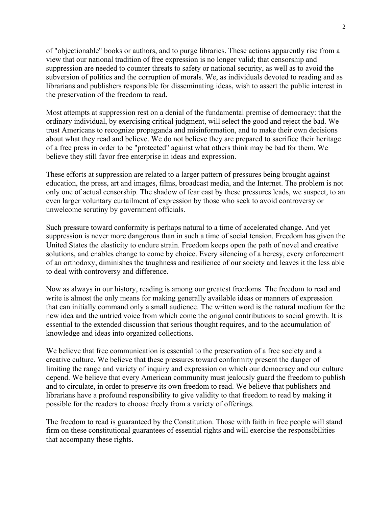of "objectionable" books or authors, and to purge libraries. These actions apparently rise from a view that our national tradition of free expression is no longer valid; that censorship and suppression are needed to counter threats to safety or national security, as well as to avoid the subversion of politics and the corruption of morals. We, as individuals devoted to reading and as librarians and publishers responsible for disseminating ideas, wish to assert the public interest in the preservation of the freedom to read.

Most attempts at suppression rest on a denial of the fundamental premise of democracy: that the ordinary individual, by exercising critical judgment, will select the good and reject the bad. We trust Americans to recognize propaganda and misinformation, and to make their own decisions about what they read and believe. We do not believe they are prepared to sacrifice their heritage of a free press in order to be "protected" against what others think may be bad for them. We believe they still favor free enterprise in ideas and expression.

These efforts at suppression are related to a larger pattern of pressures being brought against education, the press, art and images, films, broadcast media, and the Internet. The problem is not only one of actual censorship. The shadow of fear cast by these pressures leads, we suspect, to an even larger voluntary curtailment of expression by those who seek to avoid controversy or unwelcome scrutiny by government officials.

Such pressure toward conformity is perhaps natural to a time of accelerated change. And yet suppression is never more dangerous than in such a time of social tension. Freedom has given the United States the elasticity to endure strain. Freedom keeps open the path of novel and creative solutions, and enables change to come by choice. Every silencing of a heresy, every enforcement of an orthodoxy, diminishes the toughness and resilience of our society and leaves it the less able to deal with controversy and difference.

Now as always in our history, reading is among our greatest freedoms. The freedom to read and write is almost the only means for making generally available ideas or manners of expression that can initially command only a small audience. The written word is the natural medium for the new idea and the untried voice from which come the original contributions to social growth. It is essential to the extended discussion that serious thought requires, and to the accumulation of knowledge and ideas into organized collections.

We believe that free communication is essential to the preservation of a free society and a creative culture. We believe that these pressures toward conformity present the danger of limiting the range and variety of inquiry and expression on which our democracy and our culture depend. We believe that every American community must jealously guard the freedom to publish and to circulate, in order to preserve its own freedom to read. We believe that publishers and librarians have a profound responsibility to give validity to that freedom to read by making it possible for the readers to choose freely from a variety of offerings.

The freedom to read is guaranteed by the Constitution. Those with faith in free people will stand firm on these constitutional guarantees of essential rights and will exercise the responsibilities that accompany these rights.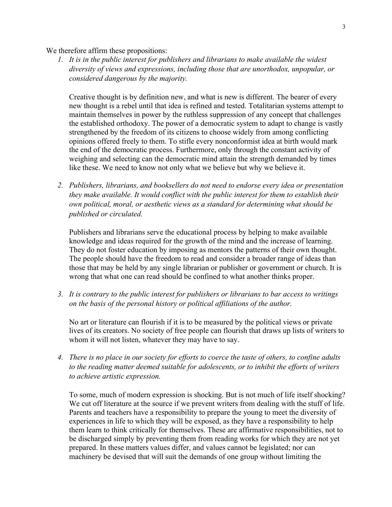We therefore affirm these propositions:

*1. It is in the public interest for publishers and librarians to make available the widest diversity of views and expressions, including those that are unorthodox, unpopular, or considered dangerous by the majority.* 

Creative thought is by definition new, and what is new is different. The bearer of every new thought is a rebel until that idea is refined and tested. Totalitarian systems attempt to maintain themselves in power by the ruthless suppression of any concept that challenges the established orthodoxy. The power of a democratic system to adapt to change is vastly strengthened by the freedom of its citizens to choose widely from among conflicting opinions offered freely to them. To stifle every nonconformist idea at birth would mark the end of the democratic process. Furthermore, only through the constant activity of weighing and selecting can the democratic mind attain the strength demanded by times like these. We need to know not only what we believe but why we believe it.

*2. Publishers, librarians, and booksellers do not need to endorse every idea or presentation they make available. It would conflict with the public interest for them to establish their own political, moral, or aesthetic views as a standard for determining what should be published or circulated.* 

Publishers and librarians serve the educational process by helping to make available knowledge and ideas required for the growth of the mind and the increase of learning. They do not foster education by imposing as mentors the patterns of their own thought. The people should have the freedom to read and consider a broader range of ideas than those that may be held by any single librarian or publisher or government or church. It is wrong that what one can read should be confined to what another thinks proper.

*3. It is contrary to the public interest for publishers or librarians to bar access to writings on the basis of the personal history or political affiliations of the author.* 

No art or literature can flourish if it is to be measured by the political views or private lives of its creators. No society of free people can flourish that draws up lists of writers to whom it will not listen, whatever they may have to say.

*4. There is no place in our society for efforts to coerce the taste of others, to confine adults to the reading matter deemed suitable for adolescents, or to inhibit the efforts of writers to achieve artistic expression.*

To some, much of modern expression is shocking. But is not much of life itself shocking? We cut off literature at the source if we prevent writers from dealing with the stuff of life. Parents and teachers have a responsibility to prepare the young to meet the diversity of experiences in life to which they will be exposed, as they have a responsibility to help them learn to think critically for themselves. These are affirmative responsibilities, not to be discharged simply by preventing them from reading works for which they are not yet prepared. In these matters values differ, and values cannot be legislated; nor can machinery be devised that will suit the demands of one group without limiting the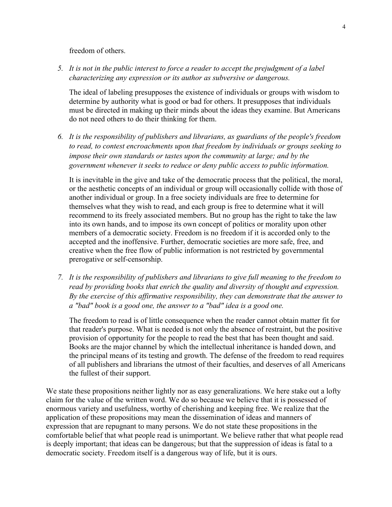freedom of others.

*5. It is not in the public interest to force a reader to accept the prejudgment of a label characterizing any expression or its author as subversive or dangerous.*

The ideal of labeling presupposes the existence of individuals or groups with wisdom to determine by authority what is good or bad for others. It presupposes that individuals must be directed in making up their minds about the ideas they examine. But Americans do not need others to do their thinking for them.

*6. It is the responsibility of publishers and librarians, as guardians of the people's freedom to read, to contest encroachments upon that freedom by individuals or groups seeking to impose their own standards or tastes upon the community at large; and by the government whenever it seeks to reduce or deny public access to public information.*

It is inevitable in the give and take of the democratic process that the political, the moral, or the aesthetic concepts of an individual or group will occasionally collide with those of another individual or group. In a free society individuals are free to determine for themselves what they wish to read, and each group is free to determine what it will recommend to its freely associated members. But no group has the right to take the law into its own hands, and to impose its own concept of politics or morality upon other members of a democratic society. Freedom is no freedom if it is accorded only to the accepted and the inoffensive. Further, democratic societies are more safe, free, and creative when the free flow of public information is not restricted by governmental prerogative or self-censorship.

*7. It is the responsibility of publishers and librarians to give full meaning to the freedom to read by providing books that enrich the quality and diversity of thought and expression. By the exercise of this affirmative responsibility, they can demonstrate that the answer to a "bad" book is a good one, the answer to a "bad" idea is a good one.*

The freedom to read is of little consequence when the reader cannot obtain matter fit for that reader's purpose. What is needed is not only the absence of restraint, but the positive provision of opportunity for the people to read the best that has been thought and said. Books are the major channel by which the intellectual inheritance is handed down, and the principal means of its testing and growth. The defense of the freedom to read requires of all publishers and librarians the utmost of their faculties, and deserves of all Americans the fullest of their support.

We state these propositions neither lightly nor as easy generalizations. We here stake out a lofty claim for the value of the written word. We do so because we believe that it is possessed of enormous variety and usefulness, worthy of cherishing and keeping free. We realize that the application of these propositions may mean the dissemination of ideas and manners of expression that are repugnant to many persons. We do not state these propositions in the comfortable belief that what people read is unimportant. We believe rather that what people read is deeply important; that ideas can be dangerous; but that the suppression of ideas is fatal to a democratic society. Freedom itself is a dangerous way of life, but it is ours.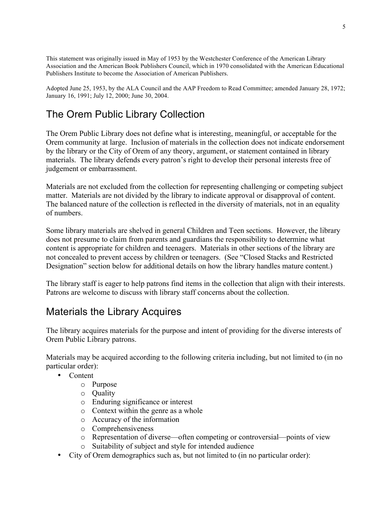This statement was originally issued in May of 1953 by the Westchester Conference of the American Library Association and the American Book Publishers Council, which in 1970 consolidated with the American Educational Publishers Institute to become the Association of American Publishers.

Adopted June 25, 1953, by the ALA Council and the AAP Freedom to Read Committee; amended January 28, 1972; January 16, 1991; July 12, 2000; June 30, 2004.

# The Orem Public Library Collection

The Orem Public Library does not define what is interesting, meaningful, or acceptable for the Orem community at large. Inclusion of materials in the collection does not indicate endorsement by the library or the City of Orem of any theory, argument, or statement contained in library materials. The library defends every patron's right to develop their personal interests free of judgement or embarrassment.

Materials are not excluded from the collection for representing challenging or competing subject matter. Materials are not divided by the library to indicate approval or disapproval of content. The balanced nature of the collection is reflected in the diversity of materials, not in an equality of numbers.

Some library materials are shelved in general Children and Teen sections. However, the library does not presume to claim from parents and guardians the responsibility to determine what content is appropriate for children and teenagers. Materials in other sections of the library are not concealed to prevent access by children or teenagers. (See "Closed Stacks and Restricted Designation" section below for additional details on how the library handles mature content.)

The library staff is eager to help patrons find items in the collection that align with their interests. Patrons are welcome to discuss with library staff concerns about the collection.

# Materials the Library Acquires

The library acquires materials for the purpose and intent of providing for the diverse interests of Orem Public Library patrons.

Materials may be acquired according to the following criteria including, but not limited to (in no particular order):

- Content
	- o Purpose
	- o Quality
	- o Enduring significance or interest
	- o Context within the genre as a whole
	- o Accuracy of the information
	- o Comprehensiveness
	- o Representation of diverse—often competing or controversial—points of view
	- o Suitability of subject and style for intended audience
- City of Orem demographics such as, but not limited to (in no particular order):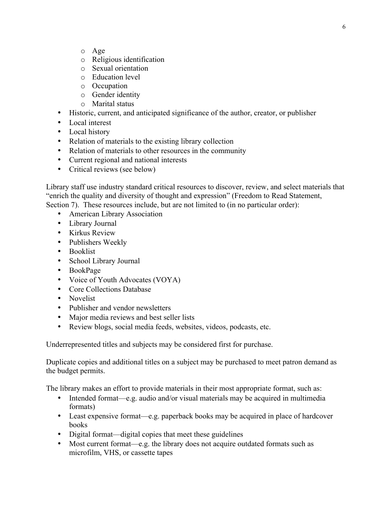- o Age
- o Religious identification
- o Sexual orientation
- o Education level
- o Occupation
- o Gender identity
- o Marital status
- Historic, current, and anticipated significance of the author, creator, or publisher
- Local interest
- Local history
- Relation of materials to the existing library collection
- Relation of materials to other resources in the community
- Current regional and national interests
- Critical reviews (see below)

Library staff use industry standard critical resources to discover, review, and select materials that "enrich the quality and diversity of thought and expression" (Freedom to Read Statement, Section 7). These resources include, but are not limited to (in no particular order):

- American Library Association
- Library Journal
- Kirkus Review
- Publishers Weekly
- Booklist
- School Library Journal
- BookPage
- Voice of Youth Advocates (VOYA)
- Core Collections Database
- Novelist
- Publisher and vendor newsletters
- Major media reviews and best seller lists
- Review blogs, social media feeds, websites, videos, podcasts, etc.

Underrepresented titles and subjects may be considered first for purchase.

Duplicate copies and additional titles on a subject may be purchased to meet patron demand as the budget permits.

The library makes an effort to provide materials in their most appropriate format, such as:

- Intended format—e.g. audio and/or visual materials may be acquired in multimedia formats)
- Least expensive format—e.g. paperback books may be acquired in place of hardcover books
- Digital format—digital copies that meet these guidelines
- Most current format—e.g. the library does not acquire outdated formats such as microfilm, VHS, or cassette tapes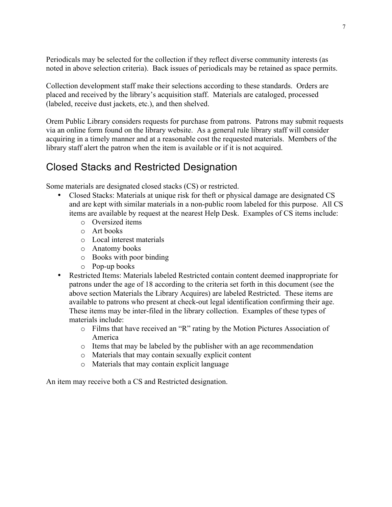Periodicals may be selected for the collection if they reflect diverse community interests (as noted in above selection criteria). Back issues of periodicals may be retained as space permits.

Collection development staff make their selections according to these standards. Orders are placed and received by the library's acquisition staff. Materials are cataloged, processed (labeled, receive dust jackets, etc.), and then shelved.

Orem Public Library considers requests for purchase from patrons. Patrons may submit requests via an online form found on the library website. As a general rule library staff will consider acquiring in a timely manner and at a reasonable cost the requested materials. Members of the library staff alert the patron when the item is available or if it is not acquired.

# Closed Stacks and Restricted Designation

Some materials are designated closed stacks (CS) or restricted.

- Closed Stacks: Materials at unique risk for theft or physical damage are designated CS and are kept with similar materials in a non-public room labeled for this purpose. All CS items are available by request at the nearest Help Desk. Examples of CS items include:
	- o Oversized items
	- o Art books
	- o Local interest materials
	- o Anatomy books
	- o Books with poor binding
	- o Pop-up books
- Restricted Items: Materials labeled Restricted contain content deemed inappropriate for patrons under the age of 18 according to the criteria set forth in this document (see the above section Materials the Library Acquires) are labeled Restricted. These items are available to patrons who present at check-out legal identification confirming their age. These items may be inter-filed in the library collection. Examples of these types of materials include:
	- o Films that have received an "R" rating by the Motion Pictures Association of America
	- o Items that may be labeled by the publisher with an age recommendation
	- o Materials that may contain sexually explicit content
	- o Materials that may contain explicit language

An item may receive both a CS and Restricted designation.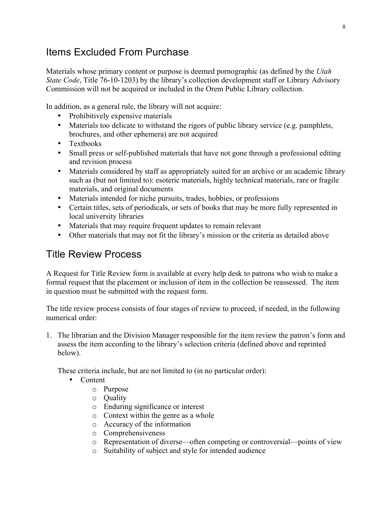# Items Excluded From Purchase

Materials whose primary content or purpose is deemed pornographic (as defined by the *Utah State Code*, Title 76-10-1203) by the library's collection development staff or Library Advisory Commission will not be acquired or included in the Orem Public Library collection.

In addition, as a general rule, the library will not acquire:

- Prohibitively expensive materials
- Materials too delicate to withstand the rigors of public library service (e.g. pamphlets, brochures, and other ephemera) are not acquired
- Textbooks
- Small press or self-published materials that have not gone through a professional editing and revision process
- Materials considered by staff as appropriately suited for an archive or an academic library such as (but not limited to): esoteric materials, highly technical materials, rare or fragile materials, and original documents
- Materials intended for niche pursuits, trades, hobbies, or professions
- Certain titles, sets of periodicals, or sets of books that may be more fully represented in local university libraries
- Materials that may require frequent updates to remain relevant
- Other materials that may not fit the library's mission or the criteria as detailed above

## Title Review Process

A Request for Title Review form is available at every help desk to patrons who wish to make a formal request that the placement or inclusion of item in the collection be reassessed. The item in question must be submitted with the request form.

The title review process consists of four stages of review to proceed, if needed, in the following numerical order:

1. The librarian and the Division Manager responsible for the item review the patron's form and assess the item according to the library's selection criteria (defined above and reprinted below).

These criteria include, but are not limited to (in no particular order):

- Content
	- o Purpose
	- o Quality
	- o Enduring significance or interest
	- o Context within the genre as a whole
	- o Accuracy of the information
	- o Comprehensiveness
	- o Representation of diverse—often competing or controversial—points of view
	- o Suitability of subject and style for intended audience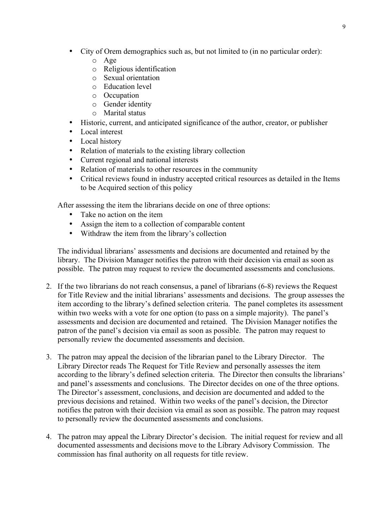- City of Orem demographics such as, but not limited to (in no particular order):
	- o Age
	- o Religious identification
	- o Sexual orientation
	- o Education level
	- o Occupation
	- o Gender identity
	- o Marital status
- Historic, current, and anticipated significance of the author, creator, or publisher
- Local interest
- Local history
- Relation of materials to the existing library collection
- Current regional and national interests
- Relation of materials to other resources in the community
- Critical reviews found in industry accepted critical resources as detailed in the Items to be Acquired section of this policy

After assessing the item the librarians decide on one of three options:

- Take no action on the item
- Assign the item to a collection of comparable content
- Withdraw the item from the library's collection

The individual librarians' assessments and decisions are documented and retained by the library. The Division Manager notifies the patron with their decision via email as soon as possible. The patron may request to review the documented assessments and conclusions.

- 2. If the two librarians do not reach consensus, a panel of librarians (6-8) reviews the Request for Title Review and the initial librarians' assessments and decisions. The group assesses the item according to the library's defined selection criteria. The panel completes its assessment within two weeks with a vote for one option (to pass on a simple majority). The panel's assessments and decision are documented and retained. The Division Manager notifies the patron of the panel's decision via email as soon as possible. The patron may request to personally review the documented assessments and decision.
- 3. The patron may appeal the decision of the librarian panel to the Library Director. The Library Director reads The Request for Title Review and personally assesses the item according to the library's defined selection criteria. The Director then consults the librarians' and panel's assessments and conclusions. The Director decides on one of the three options. The Director's assessment, conclusions, and decision are documented and added to the previous decisions and retained. Within two weeks of the panel's decision, the Director notifies the patron with their decision via email as soon as possible. The patron may request to personally review the documented assessments and conclusions.
- 4. The patron may appeal the Library Director's decision. The initial request for review and all documented assessments and decisions move to the Library Advisory Commission. The commission has final authority on all requests for title review.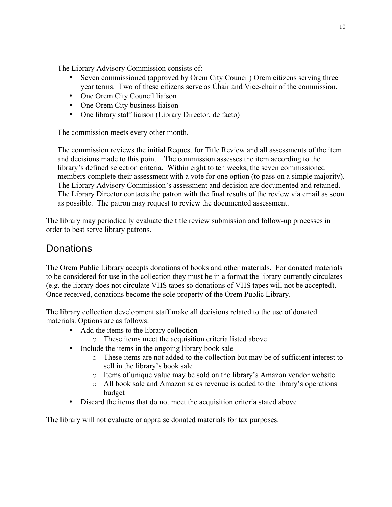The Library Advisory Commission consists of:

- Seven commissioned (approved by Orem City Council) Orem citizens serving three year terms. Two of these citizens serve as Chair and Vice-chair of the commission.
- One Orem City Council liaison
- One Orem City business liaison
- One library staff liaison (Library Director, de facto)

The commission meets every other month.

The commission reviews the initial Request for Title Review and all assessments of the item and decisions made to this point. The commission assesses the item according to the library's defined selection criteria. Within eight to ten weeks, the seven commissioned members complete their assessment with a vote for one option (to pass on a simple majority). The Library Advisory Commission's assessment and decision are documented and retained. The Library Director contacts the patron with the final results of the review via email as soon as possible. The patron may request to review the documented assessment.

The library may periodically evaluate the title review submission and follow-up processes in order to best serve library patrons.

## **Donations**

The Orem Public Library accepts donations of books and other materials. For donated materials to be considered for use in the collection they must be in a format the library currently circulates (e.g. the library does not circulate VHS tapes so donations of VHS tapes will not be accepted). Once received, donations become the sole property of the Orem Public Library.

The library collection development staff make all decisions related to the use of donated materials. Options are as follows:

- Add the items to the library collection
	- o These items meet the acquisition criteria listed above
- Include the items in the ongoing library book sale
	- o These items are not added to the collection but may be of sufficient interest to sell in the library's book sale
	- o Items of unique value may be sold on the library's Amazon vendor website
	- o All book sale and Amazon sales revenue is added to the library's operations budget
- Discard the items that do not meet the acquisition criteria stated above

The library will not evaluate or appraise donated materials for tax purposes.